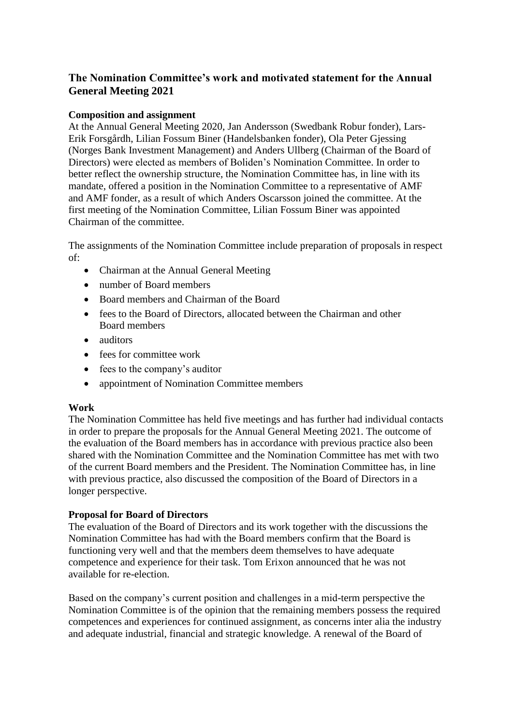# **The Nomination Committee's work and motivated statement for the Annual General Meeting 2021**

## **Composition and assignment**

At the Annual General Meeting 2020, Jan Andersson (Swedbank Robur fonder), Lars-Erik Forsgårdh, Lilian Fossum Biner (Handelsbanken fonder), Ola Peter Gjessing (Norges Bank Investment Management) and Anders Ullberg (Chairman of the Board of Directors) were elected as members of Boliden's Nomination Committee. In order to better reflect the ownership structure, the Nomination Committee has, in line with its mandate, offered a position in the Nomination Committee to a representative of AMF and AMF fonder, as a result of which Anders Oscarsson joined the committee. At the first meeting of the Nomination Committee, Lilian Fossum Biner was appointed Chairman of the committee.

The assignments of the Nomination Committee include preparation of proposals in respect of:

- Chairman at the Annual General Meeting
- number of Board members
- Board members and Chairman of the Board
- fees to the Board of Directors, allocated between the Chairman and other Board members
- auditors
- fees for committee work
- fees to the company's auditor
- appointment of Nomination Committee members

### **Work**

The Nomination Committee has held five meetings and has further had individual contacts in order to prepare the proposals for the Annual General Meeting 2021. The outcome of the evaluation of the Board members has in accordance with previous practice also been shared with the Nomination Committee and the Nomination Committee has met with two of the current Board members and the President. The Nomination Committee has, in line with previous practice, also discussed the composition of the Board of Directors in a longer perspective.

### **Proposal for Board of Directors**

The evaluation of the Board of Directors and its work together with the discussions the Nomination Committee has had with the Board members confirm that the Board is functioning very well and that the members deem themselves to have adequate competence and experience for their task. Tom Erixon announced that he was not available for re-election.

Based on the company's current position and challenges in a mid-term perspective the Nomination Committee is of the opinion that the remaining members possess the required competences and experiences for continued assignment, as concerns inter alia the industry and adequate industrial, financial and strategic knowledge. A renewal of the Board of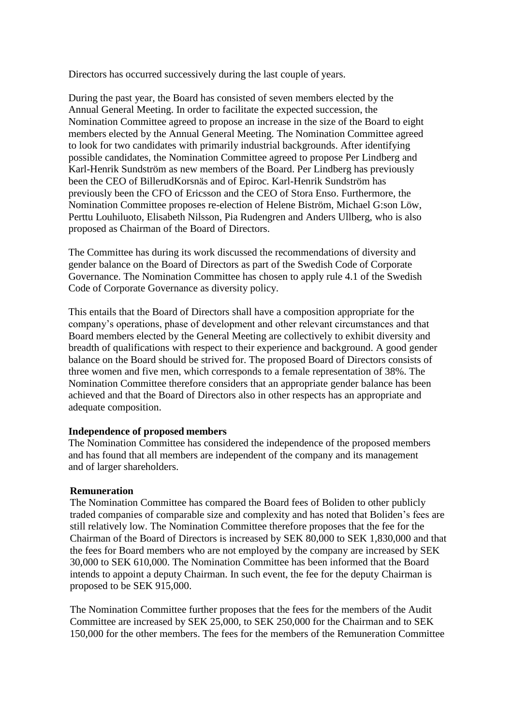Directors has occurred successively during the last couple of years.

During the past year, the Board has consisted of seven members elected by the Annual General Meeting. In order to facilitate the expected succession, the Nomination Committee agreed to propose an increase in the size of the Board to eight members elected by the Annual General Meeting. The Nomination Committee agreed to look for two candidates with primarily industrial backgrounds. After identifying possible candidates, the Nomination Committee agreed to propose Per Lindberg and Karl-Henrik Sundström as new members of the Board. Per Lindberg has previously been the CEO of BillerudKorsnäs and of Epiroc. Karl-Henrik Sundström has previously been the CFO of Ericsson and the CEO of Stora Enso. Furthermore, the Nomination Committee proposes re-election of Helene Biström, Michael G:son Löw, Perttu Louhiluoto, Elisabeth Nilsson, Pia Rudengren and Anders Ullberg, who is also proposed as Chairman of the Board of Directors.

The Committee has during its work discussed the recommendations of diversity and gender balance on the Board of Directors as part of the Swedish Code of Corporate Governance. The Nomination Committee has chosen to apply rule 4.1 of the Swedish Code of Corporate Governance as diversity policy.

This entails that the Board of Directors shall have a composition appropriate for the company's operations, phase of development and other relevant circumstances and that Board members elected by the General Meeting are collectively to exhibit diversity and breadth of qualifications with respect to their experience and background. A good gender balance on the Board should be strived for. The proposed Board of Directors consists of three women and five men, which corresponds to a female representation of 38%. The Nomination Committee therefore considers that an appropriate gender balance has been achieved and that the Board of Directors also in other respects has an appropriate and adequate composition.

#### **Independence of proposed members**

The Nomination Committee has considered the independence of the proposed members and has found that all members are independent of the company and its management and of larger shareholders.

#### **Remuneration**

The Nomination Committee has compared the Board fees of Boliden to other publicly traded companies of comparable size and complexity and has noted that Boliden's fees are still relatively low. The Nomination Committee therefore proposes that the fee for the Chairman of the Board of Directors is increased by SEK 80,000 to SEK 1,830,000 and that the fees for Board members who are not employed by the company are increased by SEK 30,000 to SEK 610,000. The Nomination Committee has been informed that the Board intends to appoint a deputy Chairman. In such event, the fee for the deputy Chairman is proposed to be SEK 915,000.

The Nomination Committee further proposes that the fees for the members of the Audit Committee are increased by SEK 25,000, to SEK 250,000 for the Chairman and to SEK 150,000 for the other members. The fees for the members of the Remuneration Committee